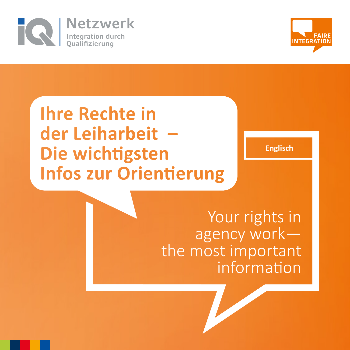



# **Ihre Rechte in** der Leiharbeit -Die wichtigsten **Infos zur Orientierung**

**Englisch**

Your rights in agency work the most important information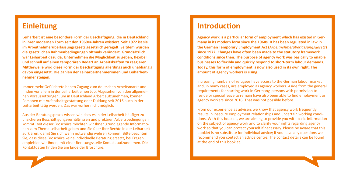#### **Einleitung**

**Leiharbeit ist eine besondere Form der Beschäftigung, die in Deutschland in ihrer modernen Form seit den 1960er-Jahren existiert. Seit 1972 ist sie im Arbeitnehmerüberlassungsgesetz gesetzlich geregelt. Seitdem wurden die gesetzlichen Rahmenbedingungen oftmals verändert. Grundsätzlich war Leiharbeit dazu da, Unternehmen die Möglichkeit zu geben, flexibel und schnell auf einen temporären Bedarf an Arbeitskräften zu reagieren. Mittlerweile wird diese Form der Beschäftigung allerdings auch unabhängig davon eingesetzt. Die Zahlen der Leiharbeitnehmerinnen und Leiharbeitnehmer steigen.**

Immer mehr Geflüchtete haben Zugang zum deutschen Arbeitsmarkt und finden vor allem in der Leiharbeit einen Job. Abgesehen von den allgemeinen Voraussetzungen, um in Deutschland Arbeit aufzunehmen, können Personen mit Aufenthaltsgestattung oder Duldung seit 2016 auch in der Leiharbeit tätig werden. Das war vorher nicht möglich.

Aus der Beratungspraxis wissen wir, dass es in der Leiharbeit häufiger zu unsicheren Beschäftigungsverhältnissen und prekären Arbeitsbedingungen kommt. Mit dieser Broschüre möchten wir Ihnen grundlegende Informationen zum Thema Leiharbeit geben und Sie über Ihre Rechte in der Leiharbeit aufklären, damit Sie sich wenn notwendig wehren können! Bitte beachten Sie, dass diese Broschüre keine individuelle Beratung ersetzt, bei Fragen empfehlen wir Ihnen, mit einer Beratungsstelle Kontakt aufzunehmen. Die Kontaktdaten finden Sie am Ende der Broschüre.

#### **Introduction**

**Agency work is a particular form of employment which has existed in Germany in its modern form since the 1960s. It has been regulated in law in the German Temporary Employment Act (***Arbeitnehmerüberlassungsgesetz***) since 1972. Changes have often been made to the statutory framework conditions since then. The purpose of agency work was basically to enable businesses to flexibly and quickly respond to short-term labour demands. Today, this form of employment is now also used in its own right. The amount of agency workers is rising.**

Increasing numbers of refugees have access to the German labour market and, in many cases, are employed as agency workers. Aside from the general requirements for starting work in Germany, persons with permission to reside or special leave to remain have also been able to find employment as agency workers since 2016. That was not possible before.

From our experience as advisers we know that agency work frequently results in insecure employment relationships and uncertain working conditions. With this booklet, we are aiming to provide you with basic information on the subject of agency work and to clarify your rights regarding agency work so that you can protect yourself if necessary. Please be aware that this booklet is no substitute for individual advice; if you have any questions we recommend you contact an advice centre. The contact details can be found at the end of this booklet.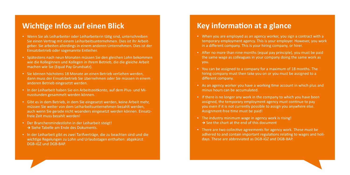#### **Wichtige Infos auf einen Blick**

- Wenn Sie als Leiharbeiter oder Leiharbeiterin tätig sind, unterschreiben Sie einen Vertrag mit einem Leiharbeitsunternehmen. Dies ist Ihr Arbeitgeber. Sie arbeiten allerdings in einem anderen Unternehmen. Dies ist der Einsatzbetrieb oder sogenannte Entleiher.
- Spätestens nach neun Monaten müssen Sie den gleichen Lohn bekommen wie die Kolleginnen und Kollegen in Ihrem Betrieb, die die gleiche Arbeit machen wie Sie (Equal Pay Grundsatz).
- Sie können höchstens 18 Monate an einen Betrieb verliehen werden, dann muss der Einsatzbetrieb Sie übernehmen oder Sie müssen in einem anderen Betrieb eingesetzt werden.
- In der Leiharbeit haben Sie ein Arbeitszeitkonto, auf dem Plus- und Minusstunden gesammelt werden können.
- Gibt es in dem Betrieb, in dem Sie eingesetzt werden, keine Arbeit mehr, müssen Sie weiter von dem Leiharbeitsunternehmen bezahlt werden, auch wenn Sie gerade nicht woanders eingesetzt werden können. Einsatzfreie Zeit muss bezahlt werden!
- Der Branchenmindestlohn in der Leiharbeit steigt! Siehe Tabelle am Ende des Dokuments.
- In der Leiharbeit gibt es zwei Tarifverträge, die zu beachten sind und die wichtige Regelungen zu Lohn und Urlaubstagen enthalten: abgekürzt DGB-iGZ und DGB-BAP.

#### **Key information at a glance**

- When you are employed as an agency worker, you sign a contract with a temporary employment agency. This is your employer. However, you work in a different company. This is your hiring company, or hirer.
- After no more than nine months (equal pay principle), you must be paid the same wage as colleagues in your company doing the same work as you.
- You can be assigned to a company for a maximum of 18 months. The hiring company must then take you on or you must be assigned to a different company.
- As an agency worker you have a working time account in which plus and minus hours can be accumulated.
- **•** If there is no longer any work in the company to which you have been assigned, the temporary employment agency must continue to pay you even if it is not currently possible to assign you anywhere else. Assignment-free time must be paid!
- The industry minimum wage in agency work is rising!  $\rightarrow$  See the chart at the end of this document
- There are two collective agreements for agency work. These must be adhered to and contain important regulations relating to wages and holidays. These are abbreviated as DGB-iGZ and DGB-BAP.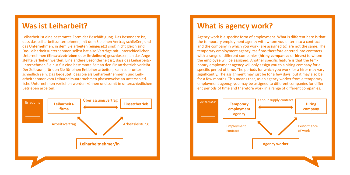### **Was ist Leiharbeit?**

Leiharbeit ist eine bestimmte Form der Beschäftigung. Das Besondere ist, dass das Leiharbeitsunternehmen, mit dem Sie einen Vertrag schließen, und das Unternehmen, in dem Sie arbeiten (eingesetzt sind) nicht gleich sind. Das Leiharbeitsunternehmen selbst hat also Verträge mit unterschiedlichen Unternehmen (**Einsatzbetrieben** oder **Entleihern**) geschlossen, an das Angestellte verliehen werden. Eine andere Besonderheit ist, dass das Leiharbeitsunternehmen Sie nur für eine bestimmte Zeit an den Einsatzbetrieb verleiht. Der Zeitraum, für den Sie für einen Entleiher arbeiten, kann sehr unterschiedlich sein. Das bedeutet, dass Sie als Leiharbeitnehmerin und Leiharbeitnehmer vom Leiharbeitsunternehmen phasenweise an unterschiedliche Unternehmen verliehen werden können und somit in unterschiedlichen Betrieben arbeiten.



## **What is agency work?**

Agency work is a specific form of employment. What is different here is that the temporary employment agency with whom you enter into a contract and the company in which you work (are assigned to) are not the same. The temporary employment agency itself has therefore entered into contracts with a range of different companies (**hiring companies** or **hirers**) to whom the employee will be assigned. Another specific feature is that the temporary employment agency will only assign you to a hiring company for a specific period of time. The periods for which you work for a hirer may vary significantly. The assignment may just be for a few days, but it may also be for a few months. This means that, as an agency worker from a temporary employment agency, you may be assigned to different companies for different periods of time and therefore work in a range of different companies.

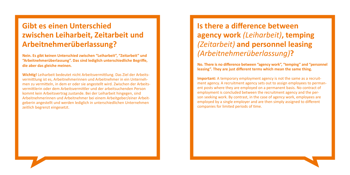## **Gibt es einen Unterschied zwischen Leiharbeit, Zeitarbeit und Arbeitnehmerüberlassung?**

**Nein. Es gibt keinen Unterschied zwischen "Leiharbeit", "Zeitarbeit" und "Arbeitnehmerüberlassung". Das sind lediglich unterschiedliche Begriffe, die aber das gleiche meinen.** 

**Wichtig!** Leiharbeit bedeutet nicht Arbeitsvermittlung. Das Ziel der Arbeitsvermittlung ist es, Arbeitnehmerinnen und Arbeitnehmer in ein Unternehmen zu vermitteln, in dem er oder sie angestellt wird. Zwischen der Arbeitsvermittlerin oder dem Arbeitsvermittler und der arbeitsuchenden Person kommt kein Arbeitsvertrag zustande. Bei der Leiharbeit hingegen, sind Arbeitnehmerinnen und Arbeitnehmer bei einem Arbeitgeber/einer Arbeitgeberin angestellt und werden lediglich in unterschiedlichen Unternehmen zeitlich begrenzt eingesetzt.

# **Is there a difference between agency work** *(Leiharbeit)***, temping**  *(Zeitarbeit)* **and personnel leasing**  *(Arbeitnehmerüberlassung)***?**

**No. There is no difference between "agency work", "temping" and "personnel leasing". They are just different terms which mean the same thing.** 

**Important:** A temporary employment agency is not the same as a recruitment agency. A recruitment agency sets out to assign employees to permanent posts where they are employed on a permanent basis. No contract of employment is concluded between the recruitment agency and the person seeking work. By contrast, in the case of agency work, employees are employed by a single employer and are then simply assigned to different companies for limited periods of time.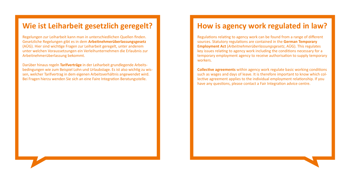#### **Wie ist Leiharbeit gesetzlich geregelt?**

Regelungen zur Leiharbeit kann man in unterschiedlichen Quellen finden. Gesetzliche Regelungen gibt es in dem **Arbeitnehmerüberlassungsgesetz** (AÜG). Hier sind wichtige Fragen zur Leiharbeit geregelt, unter anderem unter welchen Voraussetzungen ein Verleihunternehmen die Erlaubnis zur Arbeitnehmerüberlassung bekommt.

Darüber hinaus regeln **Tarifverträge** in der Leiharbeit grundlegende Arbeitsbedingungen wie zum Beispiel Lohn und Urlaubstage. Es ist also wichtig zu wissen, welcher Tarifvertrag in dem eigenen Arbeitsverhältnis angewendet wird. Bei Fragen hierzu wenden Sie sich an eine Faire Integration Beratungsstelle.

### **How is agency work regulated in law?**

Regulations relating to agency work can be found from a range of different sources. Statutory regulations are contained in the **German Temporary Employment Act** (*Arbeitnehmerüberlassungsgesetz*, AÜG). This regulates key issues relating to agency work including the conditions necessary for a temporary employment agency to receive authorisation to supply temporary workers.

**Collective agreements** within agency work regulate basic working conditions such as wages and days of leave. It is therefore important to know which collective agreement applies to the individual employment relationship. If you have any questions, please contact a Fair Integration advice centre.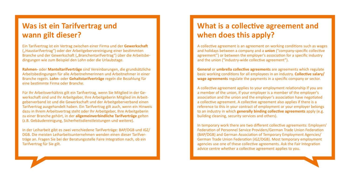## **Was ist ein Tarifvertrag und wann gilt dieser?**

Ein Tarifvertrag ist ein Vertrag zwischen einer Firma und der **Gewerkschaft**  ("Haustarifvertrag") oder der Arbeitgebervereinigung einer bestimmten Branche und der Gewerkschaft ("Branchentarifvertrag") über die Arbeitsbedingungen wie zum Beispiel den Lohn oder die Urlaubstage.

**Rahmen-** oder **Manteltarifverträge** sind Vereinbarungen, die grundsätzliche Arbeitsbedingungen für alle Arbeitnehmerinnen und Arbeitnehmer in einer Branche regeln. **Lohn-** oder **Gehaltstarifverträge** regeln die Bezahlung für eine bestimmte Firma oder Branche.

Für Ihr Arbeitsverhältnis gilt ein Tarifvertrag, wenn Sie Mitglied in der Gewerkschaft sind und Ihr Arbeitgeber, Ihre Arbeitgeberin Mitglied im Arbeitgeberverband ist und die Gewerkschaft und der Arbeitgeberverband einen Tarifvertrag ausgehandelt haben. Ein Tarifvertrag gilt auch, wenn ein Hinweis dazu in Ihrem Arbeitsvertrag steht oder Ihr Arbeitgeber, Ihre Arbeitgeberin zu einer Branche gehört, in der **allgemeinverbindliche Tarifverträge** gelten (z.B. Gebäudereinigung, Sicherheitsdienstleistungen und weitere).

In der Leiharbeit gibt es zwei verschiedene Tarifverträge: BAP/DGB und iGZ/ DGB. Die meisten Leiharbeitsunternehmen wenden einen dieser Tarifverträge an. Fragen Sie bei der Beratungsstelle Faire Integration nach, ob ein Tarifvertrag für Sie gilt.

## **What is a collective agreement and when does this apply?**

A collective agreement is an agreement on working conditions such as wages and holidays between a company and a **union** ("company-specific collective agreement") or between the employer's association for a specific industry and the union ("industry-wide collective agreement").

**General** or **umbrella collective agreements** are agreements which regulate basic working conditions for all employees in an industry. **Collective salary/ wage agreements** regulate the payments in a specific company or sector.

A collective agreement applies to your employment relationship if you are a member of the union, if your employer is a member of the employer's association and the union and the employer's association have negotiated a collective agreement. A collective agreement also applies if there is a reference to this in your contract of employment or your employer belongs to an industry in which **generally binding collective agreements** apply (e.g. building cleaning, security services and others).

In temporary work there are two different collective agreements: Employers' Federation of Personnel Service Providers/German Trade Union Federation (BAP/DGB) and German Association of Temporary Employment Agencies/ German Trade Union Federation (iGZ/DGB). Most temporary employment agencies use one of these collective agreements. Ask the Fair Integration advice centre whether a collective agreement applies to you.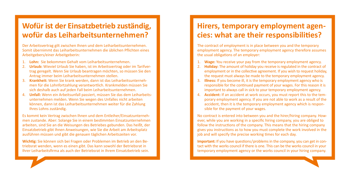## **Wofür ist der Einsatzbetrieb zuständig, wofür das Leiharbeitsunternehmen?**

Der Arbeitsvertrag gilt zwischen Ihnen und dem Leiharbeitsunternehmen. Somit übernimmt das Leiharbeitsunternehmen die üblichen Pflichten eines Arbeitgebers/einer Arbeitgeberin:

- 1. **Lohn:** Sie bekommen Gehalt vom Leiharbeitsunternehmen.
- 2. **Urlaub:** Wieviel Urlaub Sie haben, ist im Arbeitsvertrag oder im Tarifvertrag geregelt. Wenn Sie Urlaub beantragen möchten, so müssen Sie den Antrag immer beim Leiharbeitsunternehmen stellen.
- 3. **Krankheit:** Wenn Sie krank werden, dann ist das Leiharbeitsunternehmen für die Lohnfortzahlung verantwortlich. Krankmelden müssen Sie sich deshalb auch auf jeden Fall beim Leiharbeitsunternehmen.
- 4. **Unfall:** Wenn ein Arbeitsunfall passiert, müssen Sie das dem Leiharbeitsunternehmen melden. Wenn Sie wegen des Unfalles nicht arbeiten können, dann ist das Leiharbeitsunternehmen weiter für die Zahlung Ihres Lohns zuständig.

Es kommt kein Vertrag zwischen Ihnen und dem Entleiher/Einsatzunternehmen zustande. Aber: Solange Sie in einem bestimmten Einsatzunternehmen arbeiten, sind Sie an die Weisungen des Betriebes gebunden. Das heißt, der Einsatzbetrieb gibt Ihnen Anweisungen, wie Sie die Arbeit am Arbeitsplatz ausführen müssen und gibt die genauen täglichen Arbeitszeiten vor.

**Wichtig:** Sie können sich bei Fragen oder Problemen im Betrieb an den Betriebsrat wenden, wenn es einen gibt. Das kann sowohl der Betriebsrat in Ihrer Leiharbeitsfirma als auch der Betriebsrat in Ihrem Einsatzbetrieb sein.

## **Hirers, temporary employment agencies: what are their responsibilities?**

The contract of employment is in place between you and the temporary employment agency. The temporary employment agency therefore assumes the usual obligations of an employer:

- 1. **Wage:** You receive your pay from the temporary employment agency.
- 2. **Holiday:** The amount of holiday you receive is regulated in the contract of employment or in the collective agreement. If you wish to request holiday, the request must always be made to the temporary employment agency.
- **Illness:** If you become ill, it is the temporary employment agency who is responsible for the continued payment of your wages. For this reason it is important to always call in sick to your temporary employment agency.
- 4. **Accident:** If an accident at work occurs, you must report this to the temporary employment agency. If you are not able to work as a result of the accident, then it is the temporary employment agency which is responsible for the payment of your wages.

No contract is entered into between you and the hirer/hiring company. However, while you are working in a specific hiring company, you are obliged to follow the instructions of the company. This means that the hiring company gives you instructions as to how you must complete the work involved in the job and will specify the precise working times for each day.

**Important:** If you have questions/problems in the company, you can get in contact with the works council if there is one. This can be the works council in your temporary employment agency or the works council in your hiring company.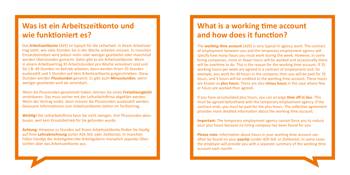## **Was ist ein Arbeitszeitkonto und wie funktioniert es?**

Das **Arbeitszeitkonto** (AZK) ist typisch für die Leiharbeit. In Ihrem Arbeitsvertrag steht, wie viele Stunden Sie in der Woche arbeiten müssen. In manchen Einsatzbetrieben wird jedoch mehr oder weniger gearbeitet oder manchmal werden Überstunden gemacht. Dafür gibt es ein Arbeitszeitkonto. Wenn in einem Arbeitsvertrag 35 Arbeitsstunden pro Woche vereinbart sind und Sie z.B. 40 Stunden im Betrieb arbeiten, dann werden Ihnen 35 Stunden ausbezahlt und 5 Stunden auf dem Arbeitszeitkonto gutgeschrieben. Diese Stunden werden **Plusstunden** genannt. Es gibt auch **Minusstunden**, wenn weniger gearbeitet wird als vereinbart.

Wenn Sie Plusstunden gesammelt haben, können Sie einen **Freizeitausgleich** vereinbaren. Das muss vorher mit der Leiharbeitsfirma abgeklärt werden. Wenn der Vertrag endet, dann müssen die Plusstunden ausbezahlt werden. Genauere Informationen zum Arbeitszeitkonto stehen im Tarifvertrag.

**Wichtig!** Die Leiharbeitsfirma kann Sie nicht zwingen, ihre Plusstunden abzubauen, weil kein Einsatzbetrieb für Sie gefunden wurde.

**Achtung:** Hinweise zu Stunden auf Ihrem Arbeitszeitkonto finden Sie häufig auf Ihrer **Lohnabrechnung** (unter AZK-Std. oder Zeitkonto). In manchen Fällen händigt der Arbeitgeber/die Arbeitgeberin monatlich separate Übersichten über das Arbeitszeitkonto aus.

## **What is a working time account and how does it function?**

The **working time account** (AZK) is very typical in agency work. The contract of employment between you and the temporary employment agency will specify how many hours you must work during the week. However, in some hiring companies, more or fewer hours will be worked and occasionally there will be overtime to do. This is the reason for the working time account. If 35 working hours per week are agreed in a contract of employment and, for example, you work for 40 hours in the company, then you will be paid for 35 hours, and 5 hours will be credited to the working time account. These hours are known as **plus hours**. There are also **minus hours** in the case where fewer hours are worked than agreed.

If you have accumulated plus hours, you can arrange **time off in lieu**. This must be agreed beforehand with the temporary employment agency. If the contract ends, you must be paid for the plus hours. The collective agreement provides more detailed information about the working time account.

**Important:** The temporary employment agency cannot force you to reduce your plus hours because no hiring company has been found for you.

**Please note:** Information about hours in your working time account can often be found on your **payslip** (under *AZK-Std.* or *Zeitkonto*). In some cases the employer will provide you with a separate summary of the working time account each month.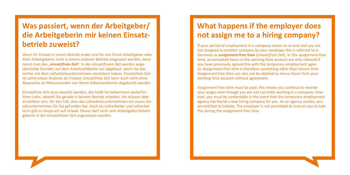## **Was passiert, wenn der Arbeitgeber/ die Arbeitgeberin mir keinen Einsatzbetrieb zuweist?**

Wenn Ihr Einsatz in einem Betrieb endet und Sie von Ihrem Arbeitgeber oder Ihrer Arbeitgeberin nicht in einem anderen Betrieb eingesetzt werden, dann nennt man das "**einsatzfreie Zeit**". In der einsatzfreien Zeit werden angesammelte Stunden auf dem Arbeitszeitkonto nur abgebaut, wenn Sie das vorher mit dem Leiharbeitsunternehmen vereinbart haben. Einsatzfreie Zeit ist somit etwas Anderes als Freizeit. Einsatzfreie Zeit kann auch nicht ohne Absprache als Minusstunden von Ihrem Arbeitszeitkonto abgebucht werden.

Einsatzfreie Zeit muss bezahlt werden, das heißt Sie bekommen weiterhin Ihren Lohn, obwohl Sie gerade in keinem Betrieb arbeiten. Sie müssen aber erreichbar sein, für den Fall, dass das Leiharbeitsunternehmen ein neues Einsatzunternehmen für Sie gefunden hat. Auch als Leiharbeiter und Leiharbeiterin gibt es Anspruch auf Urlaub. Dieser darf nicht vom Arbeitgeber/Arbeitgeberin in der einsatzfreien Zeit angewiesen werden.

## **What happens if the employer does not assign me to a hiring company?**

If your period of employment in a company comes to an end and you are not assigned to another company by your employer this is referred to in Germany as **assignment-free time** (*einsatzfreie Zeit*). In this assignment-free time, accumulated hours in the working time account are only reduced if you have previously agreed this with the temporary employment agency. Assignment-free time is therefore something other than leisure time. Assignment-free time can also not be debited as minus hours from your working time account without agreement.

Assignment-free time must be paid, this means you continue to receive your wages even though you are not currently working in a company. However, you must be contactable in the event that the temporary employment agency has found a new hiring company for you. As an agency worker, you are entitled to holiday. The employer is not permitted to instruct you to take this during the assignment-free time.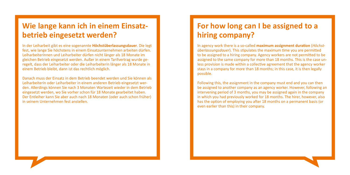## **Wie lange kann ich in einem Einsatzbetrieb eingesetzt werden?**

In der Leiharbeit gibt es eine sogenannte **Höchstüberlassungsdauer**. Die legt fest, wie lange Sie höchstens in einem Einsatzunternehmen arbeiten dürfen. Leiharbeiterinnen und Leiharbeiter dürfen nicht länger als 18 Monate im gleichen Betrieb eingesetzt werden. Außer in einem Tarifvertrag wurde geregelt, dass der Leiharbeiter oder die Leiharbeiterin länger als 18 Monate in einem Betrieb bleibt, dann ist das rechtlich möglich.

Danach muss der Einsatz in dem Betrieb beendet werden und Sie können als Leiharbeiterin oder Leiharbeiter in einem anderen Betrieb eingesetzt werden. Allerdings können Sie nach 3 Monaten Wartezeit wieder in dem Betrieb eingesetzt werden, wo Sie vorher schon für 18 Monate gearbeitet haben. Der Entleiher kann Sie aber auch nach 18 Monaten (oder auch schon früher) in seinem Unternehmen fest anstellen.

## **For how long can I be assigned to a hiring company?**

In agency work there is a so-called **maximum assignment duration** (*Höchstüberlassungsdauer*). This stipulates the maximum time you are permitted to be assigned to a hiring company. Agency workers are not permitted to be assigned to the same company for more than 18 months. This is the case unless provision is made within a collective agreement that the agency worker stays in a company for more than 18 months; in this case, it is then legally possible.

Following this, the assignment in the company must end and you can then be assigned to another company as an agency worker. However, following an intervening period of 3 months, you may be assigned again in the company in which you had previously worked for 18 months. The hirer, however, also has the option of employing you after 18 months on a permanent basis (or even earlier than this) in their company.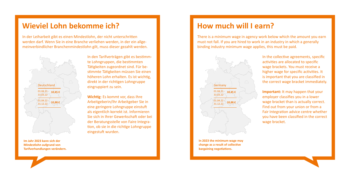#### **Wieviel Lohn bekomme ich?**

In der Leiharbeit gibt es einen Mindestlohn, der nicht unterschritten werden darf. Wenn Sie in eine Branche verliehen werden, in der ein allgemeinverbindlicher Branchenmindestlohn gilt, muss dieser gezahlt werden.



**Im Jahr 2023 kann sich der Mindestlohn aufgrund von Tarifverhandlungen verändern.** In den Tarifverträgen gibt es bestimmte Lohngruppen, die bestimmten Tätigkeiten zugeordnet sind. Für bestimmte Tätigkeiten müssen Sie einen höheren Lohn erhalten. Es ist wichtig, direkt in der richtigen Lohngruppe eingruppiert zu sein.

**Wichtig**: Es kommt vor, dass Ihre Arbeitgeberin/Ihr Arbeitgeber Sie in eine geringere Lohngruppe einstuft als eigentlich korrekt ist. Informieren Sie sich in Ihrer Gewerkschaft oder bei der Beratungsstelle von Faire Integration, ob sie in die richtige Lohngruppe eingestuft wurden.

## **How much will I earn?**

There is a minimum wage in agency work below which the amount you earn must not fall. If you are hired to work in an industry in which a generally binding industry minimum wage applies, this must be paid.



**In 2023 the minimum wage may change as a result of collective bargaining negotiations.**

In the collective agreements, specific activities are allocated to specific wage brackets. You must receive a higher wage for specific activities. It is important that you are classified in the correct wage bracket immediately.

**Important:** It may happen that your employer classifies you in a lower wage bracket than is actually correct. Find out from your union or from a Fair Integration advice centre whether you have been classified in the correct wage bracket.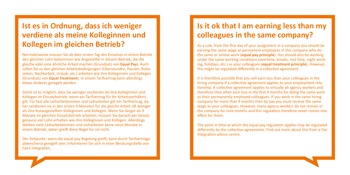## **Ist es in Ordnung, dass ich weniger verdiene als meine Kolleginnen und Kollegen im gleichen Betrieb?**

Normalerweise müssen Sie ab dem ersten Tag des Einsatzes in einem Betrieb den gleichen Lohn bekommen wie Angestellte in diesem Betrieb, die die gleiche oder eine ähnliche Arbeit machen (Grundsatz von **Equal Pay**). Auch sollen Sie zu den gleichen Arbeitsbedingungen (Überstunden, Pausen, Ruhezeiten, Nachtarbeit, Urlaub, etc.) arbeiten wie ihre Kolleginnen und Kollegen (Grundsatz von **Equal Treatment**). In einem Tarifvertrag kann allerdings etwas Anderes geregelt werden.

Somit ist es möglich, dass Sie weniger verdienen als Ihre Kolleginnen und Kollegen im Einsatzbetrieb, wenn ein Tarifvertrag für Ihr Arbeitsverhältnis gilt. Für fast alle Leiharbeiterinnen und Leiharbeiter gilt ein Tarifvertrag, daher verdienen sie in den ersten 9 Monaten für die gleiche Arbeit oft weniger als ihre festangestellten Kolleginnen und Kollegen. Wenn Sie länger als 9 Monate im gleichen Einsatzbetrieb arbeiten, müssen Sie danach per Gesetz genauso viel Lohn erhalten wie ihre Kolleginnen und Kollegen. Allerdings bleiben viele Leiharbeiterinnen und Leiharbeiter keine neun Monate in einem Betrieb, daher greift diese Regel für sie nicht.

Der Zeitpunkt, wann die equal pay Regelung greift, kann durch Tarifverträge abweichend geregelt sein. Informieren Sie sich in einer Beratungsstelle von Faire Integration.

## **Is it ok that I am earning less than my colleagues in the same company?**

As a rule, from the first day of your assignment in a company you should be earning the same wage as permanent employees in this company who do the same or similar work (**equal pay principle**). You should also be working under the same working conditions (overtime, breaks, rest time, night working, holidays, etc.) as your colleagues (**equal treatment principle**). However, this might be regulated differently in a collective agreement.

It is therefore possible that you will earn less than your colleagues in the hiring company if a collective agreement applies to your employment relationship. A collective agreement applies to virtually all agency workers and therefore they often earn less in the first 9 months for doing the same work as their permanently employed colleagues. If you work in the same hiring company for more than 9 months then by law you must receive the same wage as your colleagues. However, many agency workers do not remain in the company for nine months and this regulation therefore never comes into effect for them.

The point in time at which the equal pay regulation applies may be regulated differently by the collective agreements. Find out more about this from a Fair Integration advice centre.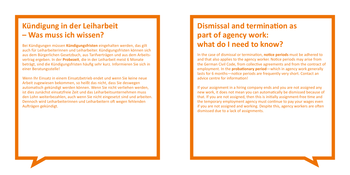#### **Kündigung in der Leiharbeit – Was muss ich wissen?**

Bei Kündigungen müssen **Kündigungsfristen** eingehalten werden, das gilt auch für Leiharbeiterinnen und Leiharbeiter. Kündigungsfristen können sich aus dem Bürgerlichen Gesetzbuch, aus Tarifverträgen und aus dem Arbeitsvertrag ergeben. In der **Probezeit**, die in der Leiharbeit meist 6 Monate beträgt, sind die Kündigungsfristen häufig sehr kurz. Informieren Sie sich in einer Beratungsstelle!

Wenn Ihr Einsatz in einem Einsatzbetrieb endet und wenn Sie keine neue Arbeit zugewiesen bekommen, so heißt das nicht, dass Sie deswegen automatisch gekündigt werden können. Wenn Sie nicht verliehen werden, ist dies zunächst einsatzfreie Zeit und das Leiharbeitsunternehmen muss den Lohn weiterbezahlen, auch wenn Sie nicht eingesetzt sind und arbeiten. Dennoch wird Leiharbeiterinnen und Leiharbeitern oft wegen fehlenden Aufträgen gekündigt.

## **Dismissal and termination as part of agency work: what do I need to know?**

In the case of dismissal or termination, **notice periods** must be adhered to and that also applies to the agency worker. Notice periods may arise from the German Civil Code, from collective agreements and from the contract of employment. In the **probationary period**—which in agency work generally lasts for 6 months—notice periods are frequently very short. Contact an advice centre for information!

If your assignment in a hiring company ends and you are not assigned any new work, it does not mean you can automatically be dismissed because of that. If you are not assigned, then this is initially assignment-free time and the temporary employment agency must continue to pay your wages even if you are not assigned and working. Despite this, agency workers are often dismissed due to a lack of assignments.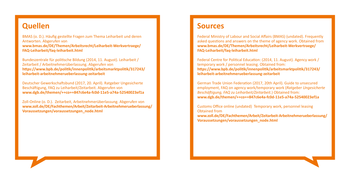#### **Quellen**

BMAS (o. D.). Häufig gestellte Fragen zum Thema Leiharbeit und deren Antworten. Abgerufen von **www.bmas.de/DE/Themen/Arbeitsrecht/Leiharbeit-Werkvertraege/ FAQ-Leiharbeit/faq-leiharbeit.html** 

Bundeszentrale für politische Bildung (2014, 11. August). Leiharbeit / Zeitarbeit / Arbeitnehmerüberlassung. Abgerufen von **[https://www.bpb.de/politik/innenpolitik/arbeitsmarktpolitik/317243/](https://www.bpb.de/politik/innenpolitik/arbeitsmarktpolitik/317243/ leiharbeit-arbeitnehmerueberlass) [leiharbeit-arbeitnehmerueberlassung-zeitarbeit](https://www.bpb.de/politik/innenpolitik/arbeitsmarktpolitik/317243/ leiharbeit-arbeitnehmerueberlass)** 

Deutscher Gewerkschaftsbund (2017, 20. April). Ratgeber Ungesicherte Beschäftigung, FAQ zu Leiharbeit/Zeitarbeit. Abgerufen von **www.dgb.de/themen/++co++847c6e4a-fc0d-11e5-a74a-52540023ef1a**

Zoll-Online (o. D.). Zeitarbeit, Arbeitnehmerüberlassung. Abgerufen von **www.zoll.de/DE/Fachthemen/Arbeit/Zeitarbeit-Arbeitnehmerueberlassung/ Voraussetzungen/voraussetzungen\_node.html**

#### **Sources**

Federal Ministry of Labour and Social Affairs (BMAS) (undated). Frequently asked questions and answers on the theme of agency work. Obtained from **[www.bmas.de/DE/Themen/Arbeitsrecht/Leiharbeit-Werkvertraege/](http://www.bmas.de/DE/Themen/Arbeitsrecht/Leiharbeit-Werkvertraege/FAQ-Leiharbeit/faq-leiharbeit.html) [FAQ-Leiharbeit/faq-leiharbeit.html](http://www.bmas.de/DE/Themen/Arbeitsrecht/Leiharbeit-Werkvertraege/FAQ-Leiharbeit/faq-leiharbeit.html)**

Federal Centre for Political Education: (2014, 11. August). Agency work / temporary work / personnel leasing. Obtained from: **https://www.bpb.de/politik/innenpolitik/arbeitsmarktpolitik/317243/ leiharbeit-arbeitnehmerueberlassung-zeitarbeit** 

German Trade Union Federation (2017, 20th April). Guide to unsecured employment, FAQ on agency work/temporary work (*Ratgeber Ungesicherte Beschäftigung, FAQ zu Leiharbeit/Zeitarbeit.*) Obtained from: **[www.dgb.de/themen/++co++847c6e4a-fc0d-11e5-a74a-52540023ef1a](http://www.dgb.de/themen/++co++847c6e4a-fc0d-11e5-a74a-52540023ef1a)**

Customs Office online (undated) Temporary work, personnel leasing Obtained from

**[www.zoll.de/DE/Fachthemen/Arbeit/Zeitarbeit-Arbeitnehmerueberlassung/](http://www.zoll.de/DE/Fachthemen/Arbeit/Zeitarbeit-Arbeitnehmerueberlassung/Voraussetzungen/voraussetzungen) [Voraussetzungen/voraussetzungen\\_node.html](http://www.zoll.de/DE/Fachthemen/Arbeit/Zeitarbeit-Arbeitnehmerueberlassung/Voraussetzungen/voraussetzungen)**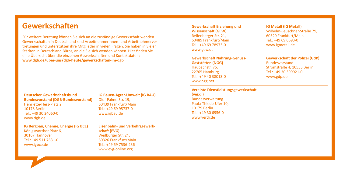#### **Gewerkschaften**

Für weitere Beratung können Sie sich an die zuständige Gewerkschaft wenden. Gewerkschaften in Deutschland sind Arbeitnehmerinnen- und Arbeitnehmervertretungen und unterstützen ihre Mitglieder in vielen Fragen. Sie haben in vielen Städten in Deutschland Büros, an die Sie sich wenden können. Hier finden Sie eine Übersicht über die einzelnen Gewerkschaften und Kontaktdaten: **[www.dgb.de/uber-uns/dgb-heute/gewerkschaften-im-dgb](http://www.dgb.de/uber-uns/dgb-heute/gewerkschaften-im-dgb )**

**Deutscher Gewerkschaftsbund Bundesvorstand (DGB-Bundesvorstand)** Henriette-Herz-Platz 2, 10178 Berlin Tel.: +49 30 24060-0 [www.dgb.de](http://www.dgb.de)

**IG Bauen-Agrar-Umwelt (IG BAU)** Olof-Palme-Str. 19, 60439 Frankfurt/Main Tel.: +49 69 95737-0 [www.igbau.de](http://www.igbau.de)

**IG Bergbau, Chemie, Energie (IG BCE)** Königsworther Platz 6, 30167 Hannover Tel.: +49 511 7631-0 [www.igbce.de](http://www.igbce.de)

**Eisenbahn- und Verkehrsgewerkschaft (EVG)** Weilburger Str. 24, 60326 Frankfurt/Main Tel.: +49 69 7536-236 [www.evg-online.org](http://www.evg-online.org)

**Gewerkschaft Erziehung und Wissenschaft (GEW)** Reifenberger Str. 21, 60489 Frankfurt/Main Tel.: +49 69 78973-0 [www.gew.de](http://www.gew.de)

**Gewerkschaft Nahrung-Genuss-Gaststätten (NGG)** Haubachstr. 76, 22765 Hamburg Tel.: +49 40 38013-0 [www.ngg.net](http://www.ngg.net)

**Vereinte Dienstleistungsgewerkschaft (ver.di)** Bundesverwaltung Paula-Thiede-Ufer 10, 10179 Berlin Tel.: +49 30 6956-0 [www.verdi.de](http://www.verdi.de)

**IG Metall (IG Metall)** Wilhelm-Leuschner-Straße 79, 60329 Frankfurt/Main  $Tel: +4969693-0$ [www.igmetall.de](http://www.igmetall.de)

**Gewerkschaft der Polizei (GdP)** Bundesvorstand Stromstraße 4, 10555 Berlin Tel.: +49 30 399921-0 [www.gdp.de](http://www.gdp.de)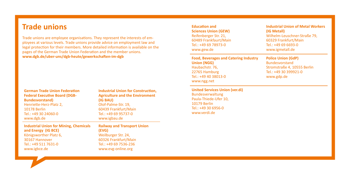### **Trade unions**

Trade unions are employee organisations. They represent the interests of employees at various levels. Trade unions provide advice on employment law and legal protection for their members. More detailed information is available on the pages of the German Trade Union Federation and the member unions. **www.dgb.de/uber-uns/dgb-heute/gewerkschaften-im-dgb**

| <b>Industrial Union for Mining, Chemicals</b> | <b>Railway and Transport Union</b>        |
|-----------------------------------------------|-------------------------------------------|
| www.dgb.de                                    | www.igbau.de                              |
| Tel.: +49 30 24060-0                          | Tel.: +49 69 95737-0                      |
| 10178 Berlin                                  | 60439 Frankfurt/Main                      |
| Henriette-Herz-Platz 2,                       | Olof-Palme-Str. 19,                       |
| <b>Bundesvorstand</b> )                       | (IG BAU)                                  |
| <b>Federal Executive Board (DGB-</b>          | <b>Agriculture and the Environment</b>    |
| <b>German Trade Union Federation</b>          | <b>Industrial Union for Construction,</b> |

**and Energy (IG BCE)** Königsworther Platz 6, 30167 Hannover  $Tel: +49 511 7631-0$ www.igbce.de

**Railway and Transport Union (EVG)** Weilburger Str. 24, 60326 Frankfurt/Main Tel.: +49 69 7536-236 www.evg-online.org

**Education and Sciences Union (GEW)** Reifenberger Str. 21, 60489 Frankfaurt/Main  $Tel: +496978973-0$ www.gew.de

**Food, Beverages and Catering Industry Union (NGG)** Haubachstr. 76, 22765 Hamburg Tel.: +49 40 38013-0 www.ngg.net

**United Services Union (ver.di)** Bundesverwaltung Paula-Thiede-Ufer 10, 10179 Berlin Tel.: +49 30 6956-0 www.verdi.de

**Industrial Union of Metal Workers (IG Metall)** Wilhelm-Leuschner-Straße 79, 60329 Frankfurt/Main  $Tel: +4969693-0$ www.igmetall.de

**Police Union (GdP)** Bundesvorstand Stromstraße 4, 10555 Berlin Tel.: +49 30 399921-0 www.gdp.de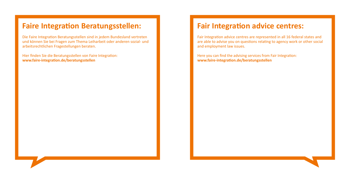### **Faire Integration Beratungsstellen:**

Die Faire Integration Beratungsstellen sind in jedem Bundesland vertreten und können Sie bei Fragen zum Thema Leiharbeit oder anderen sozial- und arbeitsrechtlichen Fragestellungen beraten.

Hier finden Sie die Beratungsstellen von Faire Integration: **[www.faire-integration.de/beratungsstellen](http://www.faire-integration.de/beratungsstellen)**

#### **Fair Integration advice centres:**

Fair Integration advice centres are represented in all 16 federal states and are able to advise you on questions relating to agency work or other social and employment law issues.

Here you can find the advising services from Fair Integration: **[www.faire-integration.de/beratungsstellen](https://www.faire-integration.de/en/topic/46.beratungsstellen.html)**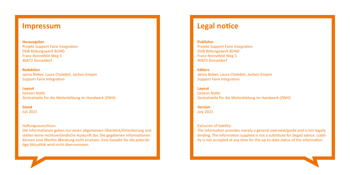#### **Impressum**

**Herausgeber**  Projekt Support Faire Integration DGB Bildungswerk BUND Franz-Rennefeld-Weg 5 40472 Düsseldorf

**Redaktion** Janna Bieker, Laura Chelebet, Jochen Empen Support Faire Integration

#### **Layout**

Gereon Nolte Zentralstelle für die Weiterbildung im Handwerk (ZWH)

**Stand** Juli 2021

#### Haftungsausschluss:

Die Informationen geben nur einen allgemeinen Überblick/Orientierung und stellen keine rechtsverbindliche Auskunft dar. Die gegebenen Informationen können eine (Rechts-)Beratung nicht ersetzen. Eine Gewähr für die jederzeitige Aktualität wird nicht übernommen.

#### **Legal notice**

**Publisher**  Projekt Support Faire Integration DGB Bildungswerk BUND Franz-Rennefeld-Weg 5 40472 Düsseldorf

**Editors** Janna Bieker, Laura Chelebet, Jochen Empen Support Faire Integration

**Layout** Gereon Nolte Zentralstelle für die Weiterbildung im Handwerk (ZWH)

**Version** July 2021

Exclusion of liability:

The information provides merely a general overview/guide and is not legally binding. The information supplied is not a substitute for (legal) advice. Liability is not accepted at any time for the up-to-date status of the information.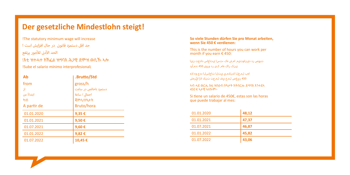## **Der gesetzliche Mindestlohn steigt!**

!The statutory minimum wage will increase حد اقل دستمزد قانونی در حال افزایش است ! .<br>الحد الأدنى للأجور يرتفع !እቲ ዝተሓተ ክኽፈል ዝግባእ ሕጋዊ ደሞዝ ወሲኹ ኣሎ !Sube el salario mínimo interprofesional¡

| Ab          | .Brutto/Std           |
|-------------|-----------------------|
| from        | gross/h               |
| -31         | دستمزد ناخالص در ساعت |
| اىتداءً من  | اجمالی / ساعة         |
| ከብ          | ጃምላ/ሰዓታት              |
| A partir de | Bruto/hora            |
| 01.01.2020  | 9,35€                 |
| 01.01.2021  | 9,50€                 |
| 01.07.2021  | 9,60€                 |
| 01.01.2022  | 9,82€                 |
| 01.07.2022  | 10,45€                |

#### **So viele Stunden dürfen Sie pro Monat arbeiten, wenn Sie 450 € verdienen:**

This is the number of hours you can work per month if you earn € 450:

 تروص رد دیناوتیم امش هک ،تسا یتاعاس دادعت نیا ینک راک هام کی رد وروی 450 :دمآرد

 اهب لمعلا كنكمي يتلا تاعاسلا ددع وه اذه 450 ريغص لمرع يف لمرعت تننك اذإ ايًرهش

ኣብ ሓደ ወርሒ እዚ ዝስዕብ ሰዓታት ክትሰርሑ ይግባእ እንተደኣ 450 € ኣታዊ ኣለኩም፦

Si tiene un salario de 450€, estas son las horas que puede trabajar al mes:

| 01.01.2020 | 48,12 |
|------------|-------|
| 01.01.2021 | 47,37 |
| 01.07.2021 | 46,87 |
| 01.01.2022 | 45,82 |
| 01.07.2022 | 43,06 |